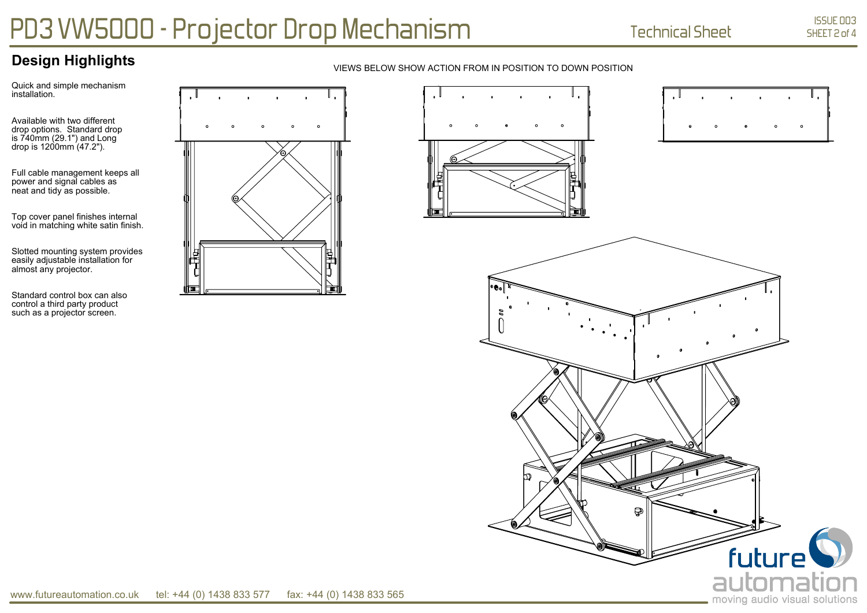## **Design Highlights**

Quick and simple mechanism installation.

Available with two different drop options. Standard drop is 740mm (29.1") and Long drop is 1200mm (47.2").

Full cable management keeps all power and signal cables as neat and tidy as possible.

Top cover panel finishes internal void in matching white satin finish.

Slotted mounting system provides easily adjustable installation for almost any projector.

Standard control box can also control a third party product such as a projector screen.



## VIEWS BELOW SHOW ACTION FROM IN POSITION TO DOWN POSITION





# PD3 VW5000 - Projector Drop Mechanism Technical Sheet

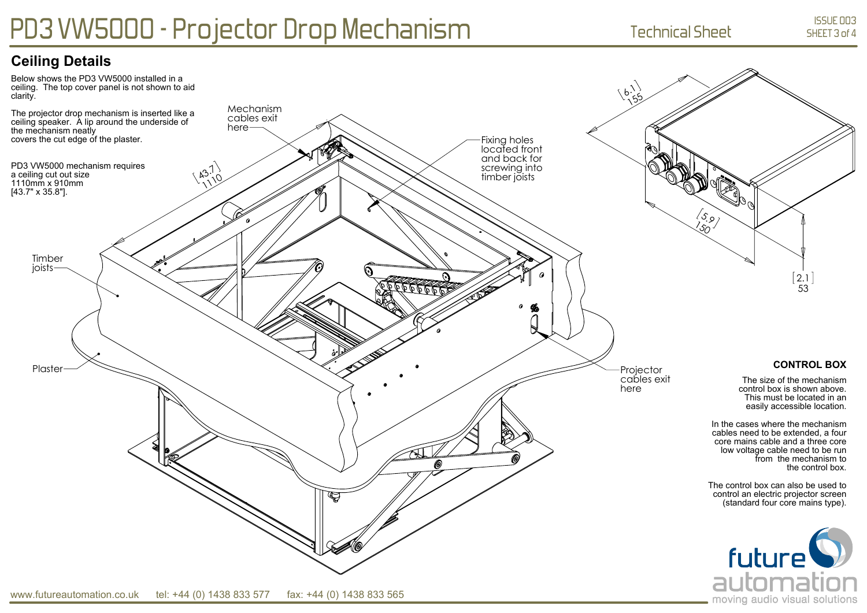## PD3 VW5000 - Projector Drop Mechanism Technical Sheet

## **Ceiling Details**